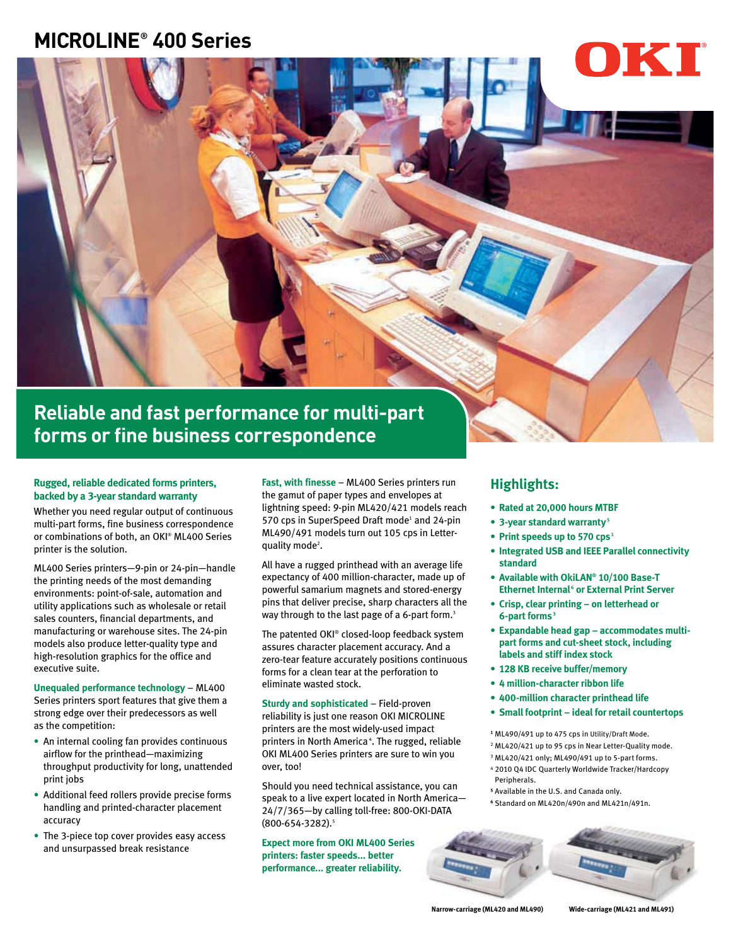# **MICROLINE® 400 Series**



**forms or fine business correspondence**

# **Rugged, reliable dedicated forms printers, backed by a 3-year standard warranty**

Whether you need regular output of continuous multi-part forms, fine business correspondence or combinations of both, an OKI® ML400 Series printer is the solution.

ML400 Series printers—9-pin or 24-pin—handle the printing needs of the most demanding environments: point-of-sale, automation and utility applications such as wholesale or retail sales counters, financial departments, and manufacturing or warehouse sites. The 24-pin models also produce letter-quality type and high-resolution graphics for the office and executive suite.

**Unequaled performance technology** – ML400 Series printers sport features that give them a strong edge over their predecessors as well as the competition:

- An internal cooling fan provides continuous airflow for the printhead—maximizing throughput productivity for long, unattended print jobs
- Additional feed rollers provide precise forms handling and printed-character placement accuracy
- The 3-piece top cover provides easy access and unsurpassed break resistance

**Fast, with finesse** – ML400 Series printers run the gamut of paper types and envelopes at lightning speed: 9-pin ML420/421 models reach 570 cps in SuperSpeed Draft mode<sup>1</sup> and 24-pin ML490/491 models turn out 105 cps in Letterquality mode<sup>2</sup>.

All have a rugged printhead with an average life expectancy of 400 million-character, made up of powerful samarium magnets and stored-energy pins that deliver precise, sharp characters all the way through to the last page of a 6-part form.<sup>3</sup>

The patented OKI® closed-loop feedback system assures character placement accuracy. And a zero-tear feature accurately positions continuous forms for a clean tear at the perforation to eliminate wasted stock.

**Sturdy and sophisticated** – Field-proven reliability is just one reason OKI MICROLINE printers are the most widely-used impact printers in North America<sup>4</sup>. The rugged, reliable OKI ML400 Series printers are sure to win you over, too!

Should you need technical assistance, you can speak to a live expert located in North America— 24/7/365—by calling toll-free: 800-OKI-DATA (800-654-3282).5

**Expect more from OKI ML400 Series printers: faster speeds... better performance... greater reliability.**

# **Highlights:**

- **• Rated at 20,000 hours MTBF**
- **• 3-year standard warranty <sup>5</sup>**
- Print speeds up to 570 cps<sup>1</sup>
- **• Integrated USB and IEEE Parallel connectivity standard**
- **• Available with OkiLAN® 10/100 Base-T Ethernet Internal<sup>6</sup> or External Print Server**
- **• Crisp, clear printing on letterhead or 6-part forms <sup>3</sup>**
- **• Expandable head gap accommodates multipart forms and cut-sheet stock, including labels and stiff index stock**
- **• 128 KB receive buffer/memory**
- **• 4 million-character ribbon life**
- **• 400-million character printhead life**
- **• Small footprint ideal for retail countertops**
- **<sup>1</sup>** ML490/491 up to 475 cps in Utility/Draft Mode.
- 2 ML420/421 up to 95 cps in Near Letter-Quality mode.
	- 3 ML420/421 only; ML490/491 up to 5-part forms.
	- <sup>4</sup> 2010 Q4 IDC Quarterly Worldwide Tracker/Hardcopy **Perinherals**
	- **<sup>5</sup>** Available in the U.S. and Canada only.
	- **6** Standard on ML420n/490n and ML421n/491n.



**Narrow-carriage (ML420 and ML490) Wide-carriage (ML421 and ML491)**